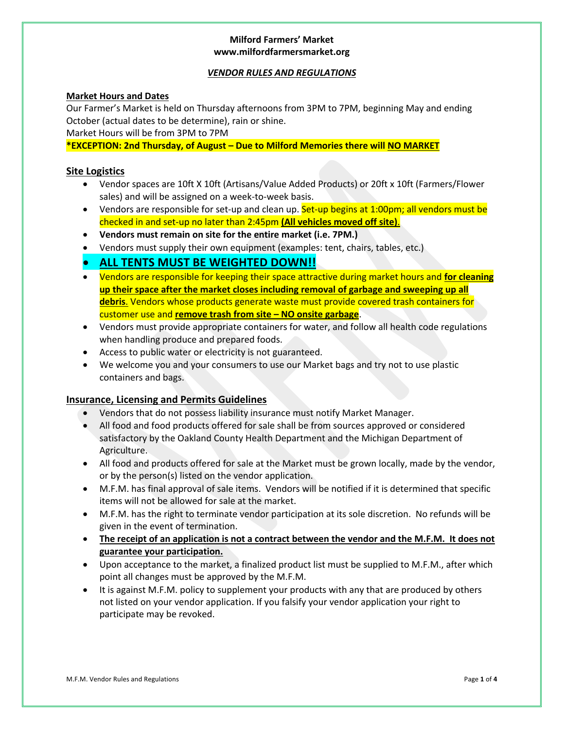### *VENDOR RULES AND REGULATIONS*

### **Market Hours and Dates**

Our Farmer's Market is held on Thursday afternoons from 3PM to 7PM, beginning May and ending October (actual dates to be determine), rain or shine.

Market Hours will be from 3PM to 7PM

**\*EXCEPTION: 2nd Thursday, of August – Due to Milford Memories there will NO MARKET**

#### **Site Logistics**

- Vendor spaces are 10ft X 10ft (Artisans/Value Added Products) or 20ft x 10ft (Farmers/Flower sales) and will be assigned on a week-to-week basis.
- Vendors are responsible for set-up and clean up. Set-up begins at 1:00pm; all vendors must be checked in and set-up no later than 2:45pm **(All vehicles moved off site)**.
- **Vendors must remain on site for the entire market (i.e. 7PM.)**
- Vendors must supply their own equipment (examples: tent, chairs, tables, etc.)

# • **ALL TENTS MUST BE WEIGHTED DOWN!!**

- Vendors are responsible for keeping their space attractive during market hours and **for cleaning up their space after the market closes including removal of garbage and sweeping up all debris**. Vendors whose products generate waste must provide covered trash containers for customer use and **remove trash from site – NO onsite garbage**.
- Vendors must provide appropriate containers for water, and follow all health code regulations when handling produce and prepared foods.
- Access to public water or electricity is not guaranteed.
- We welcome you and your consumers to use our Market bags and try not to use plastic containers and bags.

### **Insurance, Licensing and Permits Guidelines**

- Vendors that do not possess liability insurance must notify Market Manager.
- All food and food products offered for sale shall be from sources approved or considered satisfactory by the Oakland County Health Department and the Michigan Department of Agriculture.
- All food and products offered for sale at the Market must be grown locally, made by the vendor, or by the person(s) listed on the vendor application.
- M.F.M. has final approval of sale items. Vendors will be notified if it is determined that specific items will not be allowed for sale at the market.
- M.F.M. has the right to terminate vendor participation at its sole discretion. No refunds will be given in the event of termination.
- **The receipt of an application is not a contract between the vendor and the M.F.M. It does not guarantee your participation.**
- Upon acceptance to the market, a finalized product list must be supplied to M.F.M., after which point all changes must be approved by the M.F.M.
- It is against M.F.M. policy to supplement your products with any that are produced by others not listed on your vendor application. If you falsify your vendor application your right to participate may be revoked.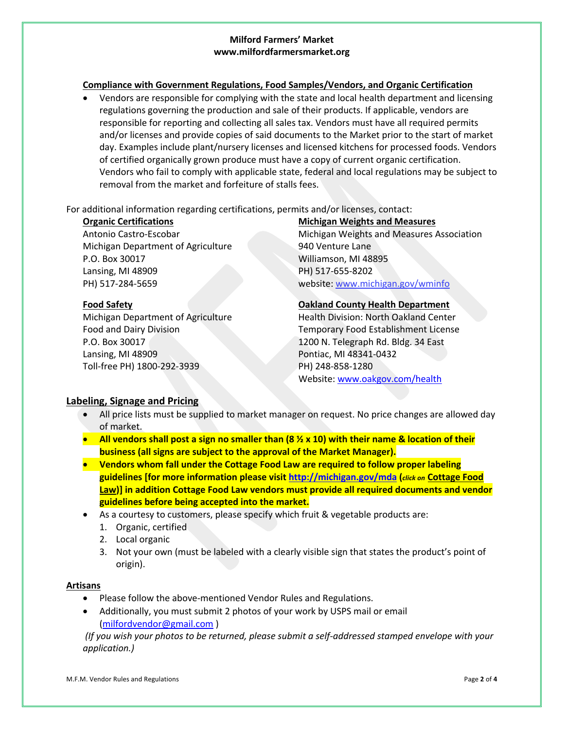### **Compliance with Government Regulations, Food Samples/Vendors, and Organic Certification**

• Vendors are responsible for complying with the state and local health department and licensing regulations governing the production and sale of their products. If applicable, vendors are responsible for reporting and collecting all sales tax. Vendors must have all required permits and/or licenses and provide copies of said documents to the Market prior to the start of market day. Examples include plant/nursery licenses and licensed kitchens for processed foods. Vendors of certified organically grown produce must have a copy of current organic certification. Vendors who fail to comply with applicable state, federal and local regulations may be subject to removal from the market and forfeiture of stalls fees.

### For additional information regarding certifications, permits and/or licenses, contact:

Michigan Department of Agriculture 1940 Venture Lane P.O. Box 30017 Williamson, MI 48895 Lansing, MI 48909 **PH**) 517-655-8202

P.O. Box 30017 1200 N. Telegraph Rd. Bldg. 34 East Lansing, MI 48909 **Pontiac, MI 48341-0432** Toll-free PH) 1800-292-3939 PH) 248-858-1280

# **Organic Certifications Michigan Weights and Measures**

Antonio Castro-Escobar Michigan Weights and Measures Association PH) 517-284-5659 website: www.michigan.gov/wminfo

# **Food Safety Oakland County Health Department**

Michigan Department of Agriculture Health Division: North Oakland Center Food and Dairy Division **Temporary Food Establishment License** Website: www.oakgov.com/health

# **Labeling, Signage and Pricing**

- All price lists must be supplied to market manager on request. No price changes are allowed day of market.
- **All vendors shall post a sign no smaller than (8 ½ x 10) with their name & location of their business (all signs are subject to the approval of the Market Manager).**
- **Vendors whom fall under the Cottage Food Law are required to follow proper labeling guidelines [for more information please visit http://michigan.gov/mda (***click on* **Cottage Food Law)] in addition Cottage Food Law vendors must provide all required documents and vendor guidelines before being accepted into the market.**
- As a courtesy to customers, please specify which fruit & vegetable products are:
	- 1. Organic, certified
	- 2. Local organic
	- 3. Not your own (must be labeled with a clearly visible sign that states the product's point of origin).

### **Artisans**

- Please follow the above-mentioned Vendor Rules and Regulations.
- Additionally, you must submit 2 photos of your work by USPS mail or email (milfordvendor@gmail.com )

*(If you wish your photos to be returned, please submit a self-addressed stamped envelope with your application.)*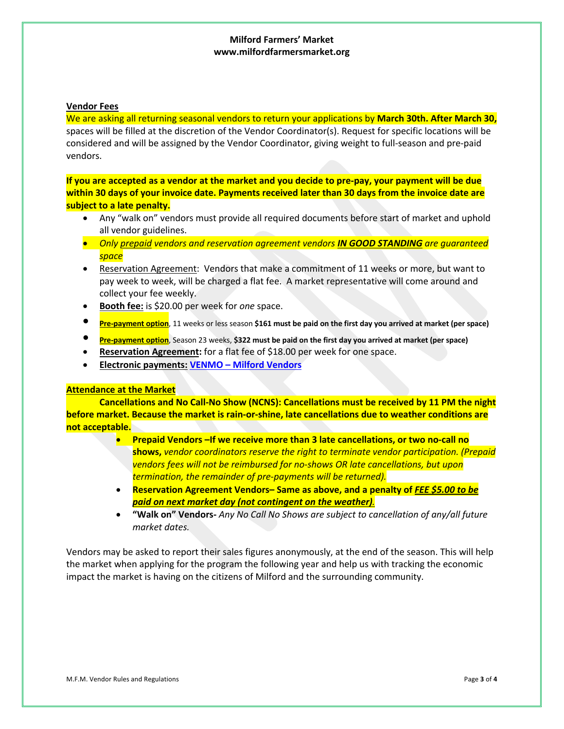#### **Vendor Fees**

We are asking all returning seasonal vendors to return your applications by **March 30th. After March 30,** spaces will be filled at the discretion of the Vendor Coordinator(s). Request for specific locations will be considered and will be assigned by the Vendor Coordinator, giving weight to full-season and pre-paid vendors.

**If you are accepted as a vendor at the market and you decide to pre-pay, your payment will be due within 30 days of your invoice date. Payments received later than 30 days from the invoice date are subject to a late penalty.**

- Any "walk on" vendors must provide all required documents before start of market and uphold all vendor guidelines.
- *Only prepaid vendors and reservation agreement vendors IN GOOD STANDING are guaranteed space*
- Reservation Agreement: Vendors that make a commitment of 11 weeks or more, but want to pay week to week, will be charged a flat fee. A market representative will come around and collect your fee weekly.
- **Booth fee:** is \$20.00 per week for *one* space.
- **Pre-payment option**, 11 weeks or less season **\$161 must be paid on the first day you arrived at market (per space)**
- **Pre-payment option**, Season 23 weeks, **\$322 must be paid on the first day you arrived at market (per space)**
- **Reservation Agreement:** for a flat fee of \$18.00 per week for one space.
- **Electronic payments: VENMO – Milford Vendors**

#### **Attendance at the Market**

**Cancellations and No Call-No Show (NCNS): Cancellations must be received by 11 PM the night before market. Because the market is rain-or-shine, late cancellations due to weather conditions are not acceptable.**

- **Prepaid Vendors –If we receive more than 3 late cancellations, or two no-call no shows,** *vendor coordinators reserve the right to terminate vendor participation. (Prepaid vendors fees will not be reimbursed for no-shows OR late cancellations, but upon termination, the remainder of pre-payments will be returned).*
- **Reservation Agreement Vendors– Same as above, and a penalty of** *FEE \$5.00 to be paid on next market day (not contingent on the weather).*
- **"Walk on" Vendors-** *Any No Call No Shows are subject to cancellation of any/all future market dates.*

Vendors may be asked to report their sales figures anonymously, at the end of the season. This will help the market when applying for the program the following year and help us with tracking the economic impact the market is having on the citizens of Milford and the surrounding community.